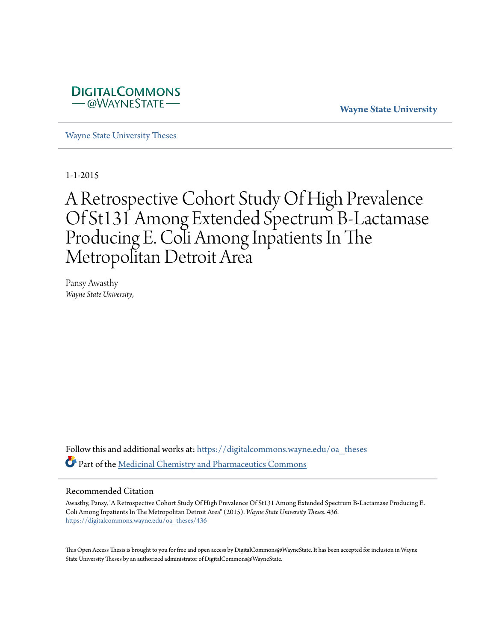

**Wayne State University**

[Wayne State University Theses](https://digitalcommons.wayne.edu/oa_theses?utm_source=digitalcommons.wayne.edu%2Foa_theses%2F436&utm_medium=PDF&utm_campaign=PDFCoverPages)

1-1-2015

# A Retrospective Cohort Study Of High Prevalence Of St131 Among Extended Spectrum Β-Lactamase Producing E. Coli Among Inpatients In The Metropolitan Detroit Area

Pansy Awasthy *Wayne State University*,

Follow this and additional works at: [https://digitalcommons.wayne.edu/oa\\_theses](https://digitalcommons.wayne.edu/oa_theses?utm_source=digitalcommons.wayne.edu%2Foa_theses%2F436&utm_medium=PDF&utm_campaign=PDFCoverPages) Part of the [Medicinal Chemistry and Pharmaceutics Commons](http://network.bepress.com/hgg/discipline/65?utm_source=digitalcommons.wayne.edu%2Foa_theses%2F436&utm_medium=PDF&utm_campaign=PDFCoverPages)

#### Recommended Citation

Awasthy, Pansy, "A Retrospective Cohort Study Of High Prevalence Of St131 Among Extended Spectrum Β-Lactamase Producing E. Coli Among Inpatients In The Metropolitan Detroit Area" (2015). *Wayne State University Theses*. 436. [https://digitalcommons.wayne.edu/oa\\_theses/436](https://digitalcommons.wayne.edu/oa_theses/436?utm_source=digitalcommons.wayne.edu%2Foa_theses%2F436&utm_medium=PDF&utm_campaign=PDFCoverPages)

This Open Access Thesis is brought to you for free and open access by DigitalCommons@WayneState. It has been accepted for inclusion in Wayne State University Theses by an authorized administrator of DigitalCommons@WayneState.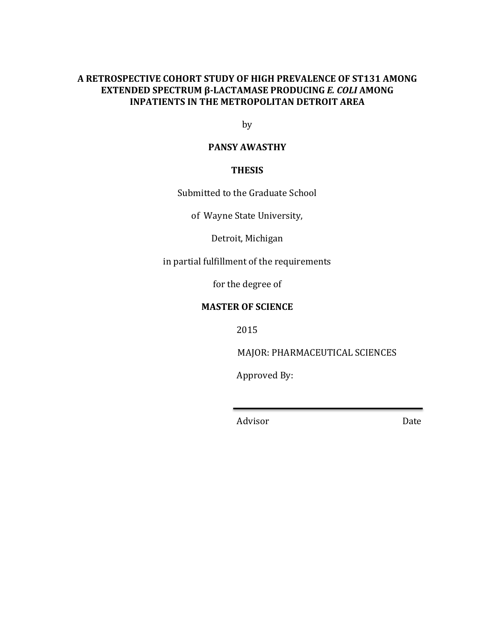## A RETROSPECTIVE COHORT STUDY OF HIGH PREVALENCE OF ST131 AMONG **EXTENDED SPECTRUM β-LACTAMASE PRODUCING** *E. COLI* **AMONG INPATIENTS IN THE METROPOLITAN DETROIT AREA**

by

# **PANSY AWASTHY**

## **THESIS**

Submitted to the Graduate School

of Wayne State University,

Detroit, Michigan

in partial fulfillment of the requirements

for the degree of

## **MASTER OF SCIENCE**

2015

MAJOR: PHARMACEUTICAL SCIENCES

Approved By:

Advisor Date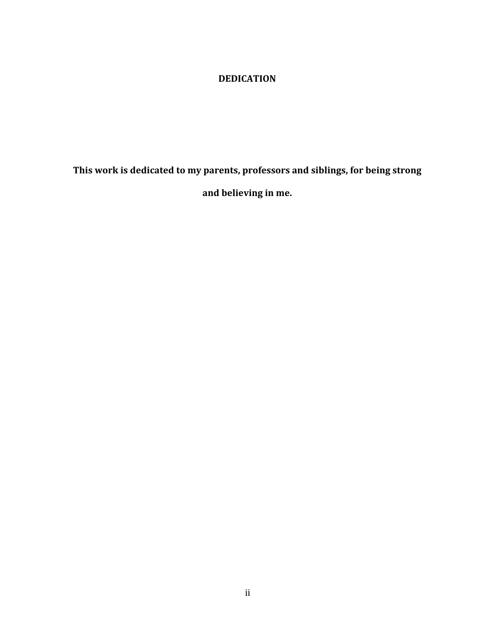# **DEDICATION**

This work is dedicated to my parents, professors and siblings, for being strong

**and believing in me.**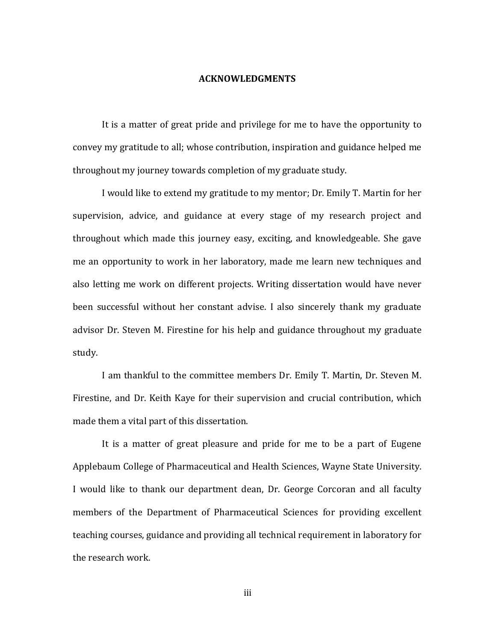#### **ACKNOWLEDGMENTS**

It is a matter of great pride and privilege for me to have the opportunity to convey my gratitude to all; whose contribution, inspiration and guidance helped me throughout my journey towards completion of my graduate study.

I would like to extend my gratitude to my mentor; Dr. Emily T. Martin for her supervision, advice, and guidance at every stage of my research project and throughout which made this journey easy, exciting, and knowledgeable. She gave me an opportunity to work in her laboratory, made me learn new techniques and also letting me work on different projects. Writing dissertation would have never been successful without her constant advise. I also sincerely thank my graduate advisor Dr. Steven M. Firestine for his help and guidance throughout my graduate study.

I am thankful to the committee members Dr. Emily T. Martin, Dr. Steven M. Firestine, and Dr. Keith Kaye for their supervision and crucial contribution, which made them a vital part of this dissertation.

It is a matter of great pleasure and pride for me to be a part of Eugene Applebaum College of Pharmaceutical and Health Sciences, Wayne State University. I would like to thank our department dean, Dr. George Corcoran and all faculty members of the Department of Pharmaceutical Sciences for providing excellent teaching courses, guidance and providing all technical requirement in laboratory for the research work.

iii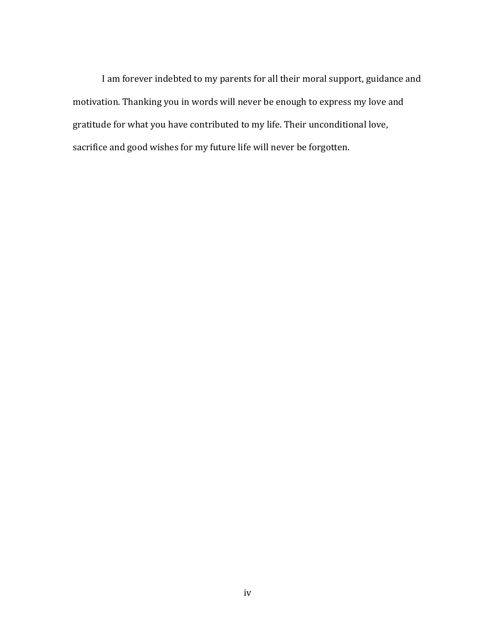I am forever indebted to my parents for all their moral support, guidance and motivation. Thanking you in words will never be enough to express my love and gratitude for what you have contributed to my life. Their unconditional love, sacrifice and good wishes for my future life will never be forgotten.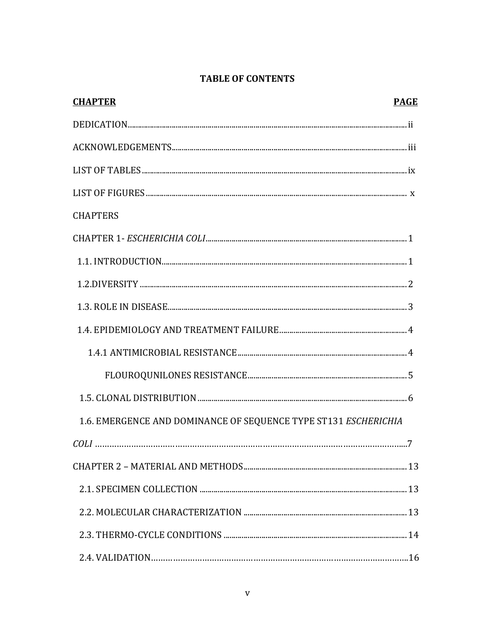# **TABLE OF CONTENTS**

| <b>CHAPTER</b>                                                  | <b>PAGE</b> |
|-----------------------------------------------------------------|-------------|
|                                                                 |             |
|                                                                 |             |
|                                                                 |             |
|                                                                 |             |
| <b>CHAPTERS</b>                                                 |             |
|                                                                 |             |
|                                                                 |             |
|                                                                 |             |
|                                                                 |             |
|                                                                 |             |
|                                                                 |             |
|                                                                 |             |
|                                                                 |             |
| 1.6. EMERGENCE AND DOMINANCE OF SEQUENCE TYPE ST131 ESCHERICHIA |             |
|                                                                 |             |
|                                                                 |             |
|                                                                 |             |
|                                                                 |             |
|                                                                 |             |
|                                                                 |             |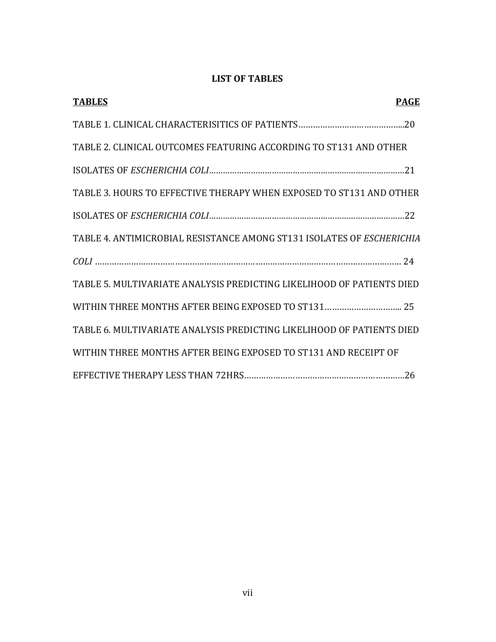# **LIST OF TABLES**

| <b>TABLES</b><br><b>PAGE</b>                                          |
|-----------------------------------------------------------------------|
|                                                                       |
| TABLE 2. CLINICAL OUTCOMES FEATURING ACCORDING TO ST131 AND OTHER     |
|                                                                       |
| TABLE 3. HOURS TO EFFECTIVE THERAPY WHEN EXPOSED TO ST131 AND OTHER   |
|                                                                       |
| TABLE 4. ANTIMICROBIAL RESISTANCE AMONG ST131 ISOLATES OF ESCHERICHIA |
|                                                                       |
| TABLE 5. MULTIVARIATE ANALYSIS PREDICTING LIKELIHOOD OF PATIENTS DIED |
|                                                                       |
| TABLE 6. MULTIVARIATE ANALYSIS PREDICTING LIKELIHOOD OF PATIENTS DIED |
| WITHIN THREE MONTHS AFTER BEING EXPOSED TO ST131 AND RECEIPT OF       |
|                                                                       |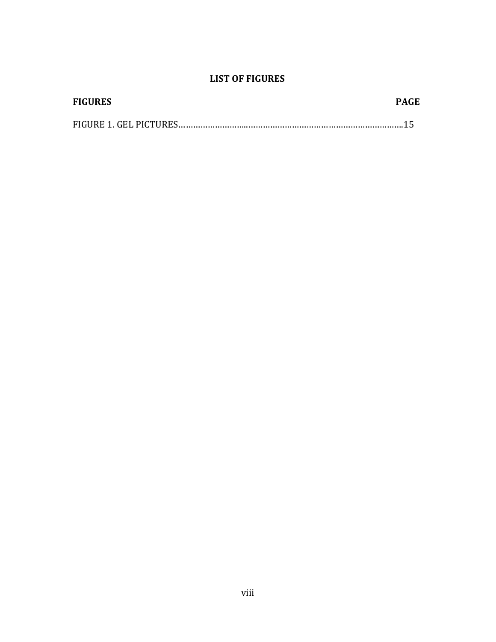# **LIST OF FIGURES**

| <b>FIGURES</b> | PAGE |
|----------------|------|
|                |      |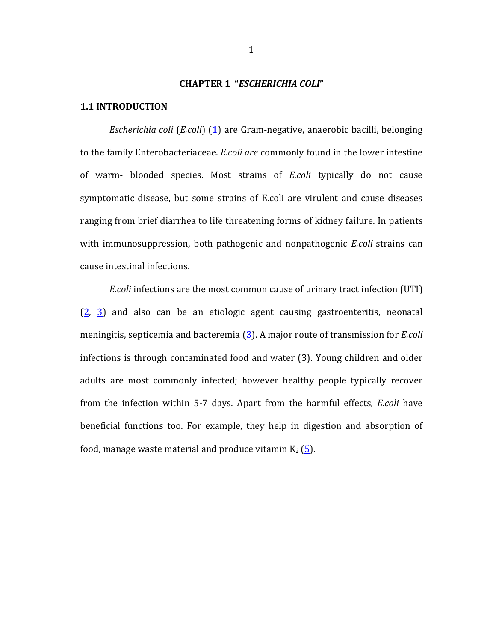#### **CHAPTER 1 "***ESCHERICHIA COLI***"**

## **1.1 INTRODUCTION**

*Escherichia coli* (*E.coli*) (1) are Gram-negative, anaerobic bacilli, belonging to the family Enterobacteriaceae. *E.coli are* commonly found in the lower intestine of warm- blooded species. Most strains of *E.coli* typically do not cause symptomatic disease, but some strains of E.coli are virulent and cause diseases ranging from brief diarrhea to life threatening forms of kidney failure. In patients with immunosuppression, both pathogenic and nonpathogenic *E.coli* strains can cause intestinal infections.

*E.coli* infections are the most common cause of urinary tract infection (UTI)  $(2, 3)$  and also can be an etiologic agent causing gastroenteritis, neonatal meningitis, septicemia and bacteremia (3). A major route of transmission for *E.coli* infections is through contaminated food and water  $(3)$ . Young children and older adults are most commonly infected; however healthy people typically recover from the infection within 5-7 days. Apart from the harmful effects, *E.coli* have beneficial functions too. For example, they help in digestion and absorption of food, manage waste material and produce vitamin  $K_2$  (5).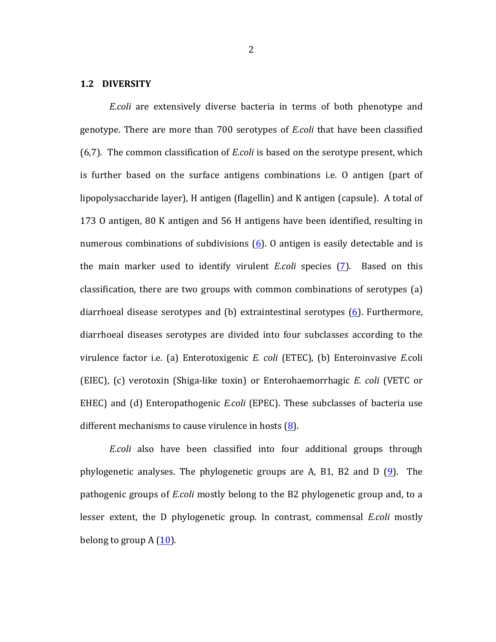#### **1.2 DIVERSITY**

*E.coli* are extensively diverse bacteria in terms of both phenotype and genotype. There are more than 700 serotypes of *E.coli* that have been classified (6.7). The common classification of *E.coli* is based on the serotype present, which is further based on the surface antigens combinations i.e.  $\theta$  antigen (part of lipopolysaccharide layer), H antigen (flagellin) and K antigen (capsule). A total of 173 O antigen, 80 K antigen and 56 H antigens have been identified, resulting in numerous combinations of subdivisions  $(6)$ . O antigen is easily detectable and is the main marker used to identify virulent *E.coli* species (7). Based on this classification, there are two groups with common combinations of serotypes  $(a)$ diarrhoeal disease serotypes and  $(b)$  extraintestinal serotypes  $(6)$ . Furthermore, diarrhoeal diseases serotypes are divided into four subclasses according to the virulence factor i.e. (a) Enterotoxigenic *E. coli* (ETEC), (b) Enteroinvasive *E.*coli (EIEC), (c) verotoxin (Shiga-like toxin) or Enterohaemorrhagic *E. coli* (VETC or EHEC) and (d) Enteropathogenic *E.coli* (EPEC). These subclasses of bacteria use different mechanisms to cause virulence in hosts  $(8)$ .

*E.coli* also have been classified into four additional groups through phylogenetic analyses. The phylogenetic groups are A, B1, B2 and D  $(9)$ . The pathogenic groups of *E.coli* mostly belong to the B2 phylogenetic group and, to a lesser extent, the D phylogenetic group. In contrast, commensal *E.coli* mostly belong to group  $A(10)$ .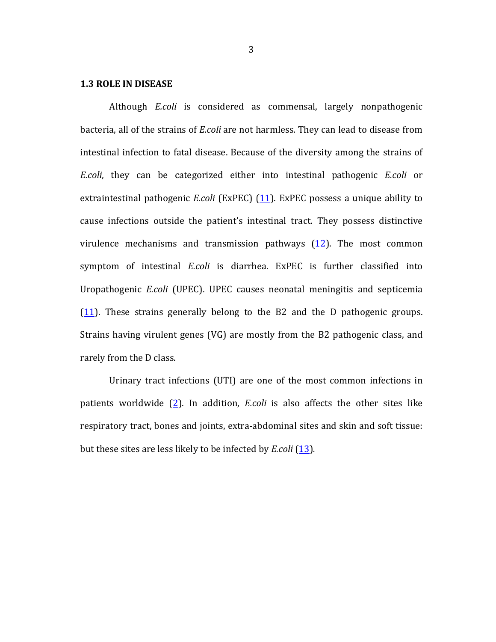#### **1.3 ROLE IN DISEASE**

Although *E.coli* is considered as commensal, largely nonpathogenic bacteria, all of the strains of *E.coli* are not harmless. They can lead to disease from intestinal infection to fatal disease. Because of the diversity among the strains of *E.coli*, they can be categorized either into intestinal pathogenic *E.coli* or extraintestinal pathogenic *E.coli* (ExPEC) (11). ExPEC possess a unique ability to cause infections outside the patient's intestinal tract. They possess distinctive virulence mechanisms and transmission pathways  $(12)$ . The most common symptom of intestinal *E.coli* is diarrhea. ExPEC is further classified into Uropathogenic *E.coli* (UPEC). UPEC causes neonatal meningitis and septicemia  $(11)$ . These strains generally belong to the B2 and the D pathogenic groups. Strains having virulent genes  $(VG)$  are mostly from the B2 pathogenic class, and rarely from the D class.

Urinary tract infections (UTI) are one of the most common infections in patients worldwide (2). In addition, *E.coli* is also affects the other sites like respiratory tract, bones and joints, extra-abdominal sites and skin and soft tissue: but these sites are less likely to be infected by *E.coli* (13).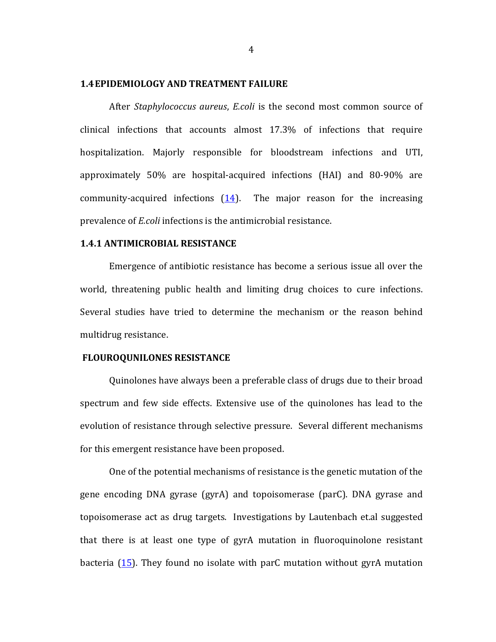#### **1.4 EPIDEMIOLOGY AND TREATMENT FAILURE**

After *Staphylococcus aureus*, *E.coli* is the second most common source of clinical infections that accounts almost 17.3% of infections that require hospitalization. Majorly responsible for bloodstream infections and UTI, approximately 50% are hospital-acquired infections (HAI) and 80-90% are community-acquired infections  $(14)$ . The major reason for the increasing prevalence of *E.coli* infections is the antimicrobial resistance.

#### **1.4.1 ANTIMICROBIAL RESISTANCE**

Emergence of antibiotic resistance has become a serious issue all over the world, threatening public health and limiting drug choices to cure infections. Several studies have tried to determine the mechanism or the reason behind multidrug resistance.

## **FLOUROQUNILONES RESISTANCE**

Quinolones have always been a preferable class of drugs due to their broad spectrum and few side effects. Extensive use of the quinolones has lead to the evolution of resistance through selective pressure. Several different mechanisms for this emergent resistance have been proposed.

One of the potential mechanisms of resistance is the genetic mutation of the gene encoding DNA gyrase (gyrA) and topoisomerase (parC). DNA gyrase and topoisomerase act as drug targets. Investigations by Lautenbach et.al suggested that there is at least one type of gyrA mutation in fluoroquinolone resistant bacteria  $(15)$ . They found no isolate with parC mutation without gyrA mutation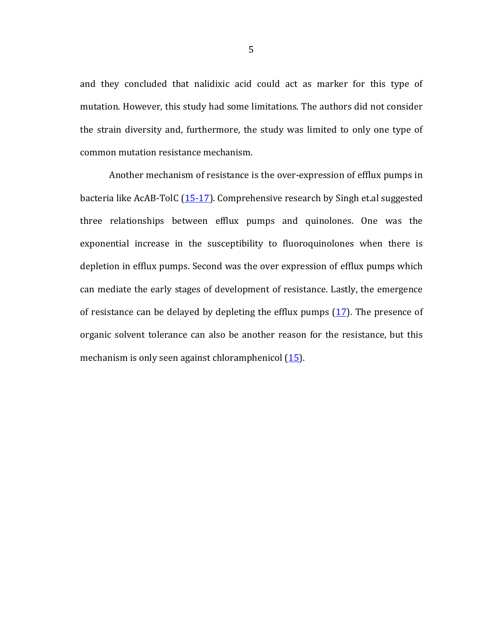and they concluded that nalidixic acid could act as marker for this type of mutation. However, this study had some limitations. The authors did not consider the strain diversity and, furthermore, the study was limited to only one type of common mutation resistance mechanism.

Another mechanism of resistance is the over-expression of efflux pumps in bacteria like  $AcAB-TolC(15-17)$ . Comprehensive research by Singh et.al suggested three relationships between efflux pumps and quinolones. One was the exponential increase in the susceptibility to fluoroquinolones when there is depletion in efflux pumps. Second was the over expression of efflux pumps which can mediate the early stages of development of resistance. Lastly, the emergence of resistance can be delayed by depleting the efflux pumps  $(17)$ . The presence of organic solvent tolerance can also be another reason for the resistance, but this mechanism is only seen against chloramphenicol  $(15)$ .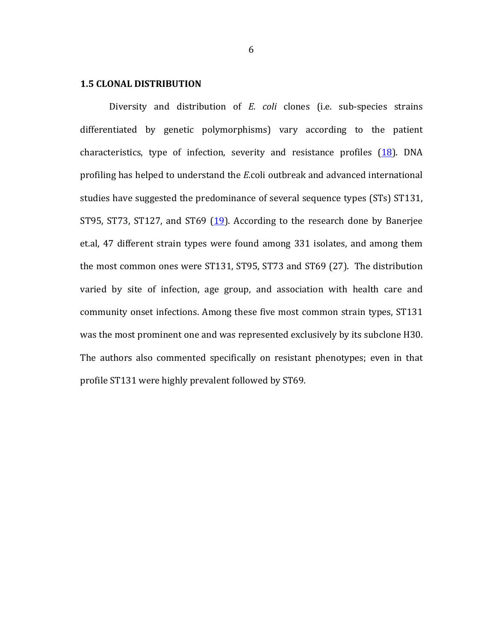#### **1.5 CLONAL DISTRIBUTION**

Diversity and distribution of *E. coli* clones (i.e. sub-species strains differentiated by genetic polymorphisms) vary according to the patient characteristics, type of infection, severity and resistance profiles  $(18)$ . DNA profiling has helped to understand the *E*.coli outbreak and advanced international studies have suggested the predominance of several sequence types (STs) ST131, ST95, ST73, ST127, and ST69 (19). According to the research done by Banerjee et.al, 47 different strain types were found among 331 isolates, and among them the most common ones were ST131, ST95, ST73 and ST69 (27). The distribution varied by site of infection, age group, and association with health care and community onset infections. Among these five most common strain types, ST131 was the most prominent one and was represented exclusively by its subclone H30. The authors also commented specifically on resistant phenotypes; even in that profile ST131 were highly prevalent followed by ST69.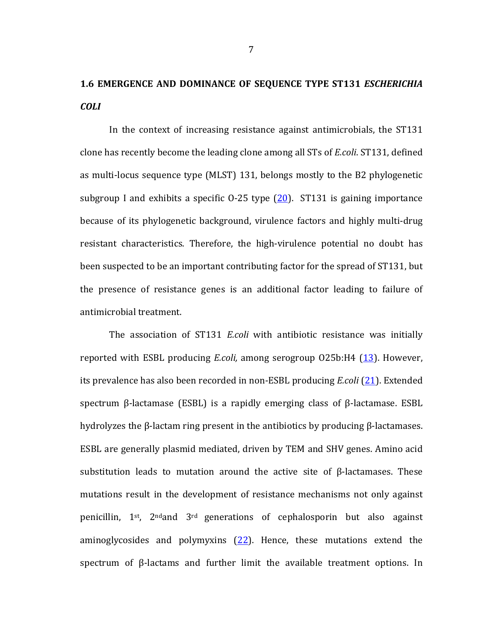# **1.6 EMERGENCE AND DOMINANCE OF SEQUENCE TYPE ST131** *ESCHERICHIA COLI*

In the context of increasing resistance against antimicrobials, the ST131 clone has recently become the leading clone among all STs of *E.coli*. ST131, defined as multi-locus sequence type (MLST) 131, belongs mostly to the B2 phylogenetic subgroup I and exhibits a specific  $0-25$  type  $(20)$ . ST131 is gaining importance because of its phylogenetic background, virulence factors and highly multi-drug resistant characteristics. Therefore, the high-virulence potential no doubt has been suspected to be an important contributing factor for the spread of ST131, but the presence of resistance genes is an additional factor leading to failure of antimicrobial treatment.

The association of ST131 *E.coli* with antibiotic resistance was initially reported with ESBL producing *E.coli*, among serogroup O25b:H4 (13). However, its prevalence has also been recorded in non-ESBL producing *E.coli* (21). Extended spectrum  $\beta$ -lactamase (ESBL) is a rapidly emerging class of  $\beta$ -lactamase. ESBL hydrolyzes the β-lactam ring present in the antibiotics by producing β-lactamases. ESBL are generally plasmid mediated, driven by TEM and SHV genes. Amino acid substitution leads to mutation around the active site of  $\beta$ -lactamases. These mutations result in the development of resistance mechanisms not only against penicillin,  $1^{st}$ ,  $2^{nd}$  and  $3^{rd}$  generations of cephalosporin but also against aminoglycosides and polymyxins  $(22)$ . Hence, these mutations extend the spectrum of  $\beta$ -lactams and further limit the available treatment options. In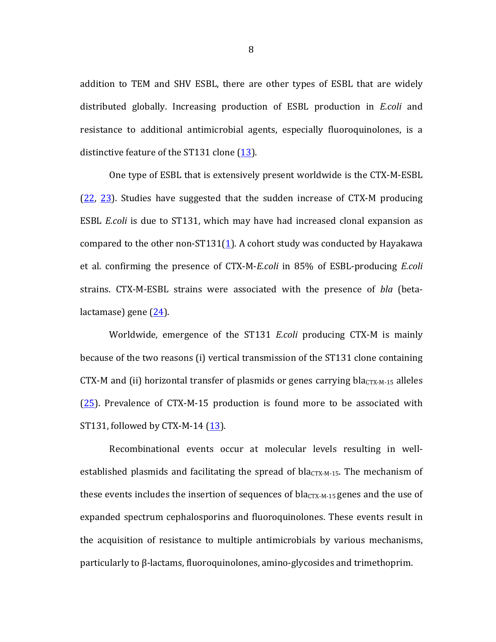addition to TEM and SHV ESBL, there are other types of ESBL that are widely distributed globally. Increasing production of ESBL production in *E.coli* and resistance to additional antimicrobial agents, especially fluoroquinolones, is a distinctive feature of the ST131 clone (13).

One type of ESBL that is extensively present worldwide is the CTX-M-ESBL  $(22, 23)$ . Studies have suggested that the sudden increase of CTX-M producing ESBL *E.coli* is due to ST131, which may have had increased clonal expansion as compared to the other non-ST131(1). A cohort study was conducted by Hayakawa et al. confirming the presence of CTX-M-*E.coli* in 85% of ESBL-producing *E.coli* strains. CTX-M-ESBL strains were associated with the presence of *bla* (beta $lactamase)$  gene  $(24)$ .

Worldwide, emergence of the ST131 *E.coli* producing CTX-M is mainly because of the two reasons (i) vertical transmission of the ST131 clone containing CTX-M and (ii) horizontal transfer of plasmids or genes carrying bla $_{CTX-M-15}$  alleles  $(25)$ . Prevalence of CTX-M-15 production is found more to be associated with ST131, followed by CTX-M-14  $(13)$ .

Recombinational events occur at molecular levels resulting in wellestablished plasmids and facilitating the spread of bla $<sub>CTX-M-15</sub>$ . The mechanism of</sub> these events includes the insertion of sequences of bla<sub>CTX-M-15</sub> genes and the use of expanded spectrum cephalosporins and fluoroquinolones. These events result in the acquisition of resistance to multiple antimicrobials by various mechanisms,  $particularly to  $\beta$ -lactams, fluoroquinolones, amino-glycosides and trimethoprim.$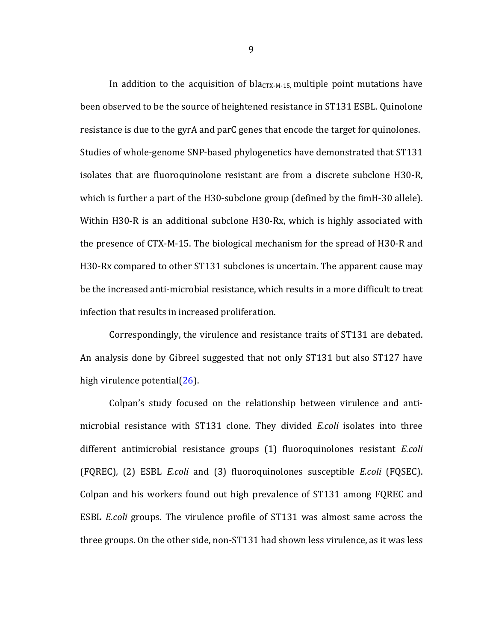In addition to the acquisition of bla $_{\text{CTX-M-15}}$ , multiple point mutations have been observed to be the source of heightened resistance in ST131 ESBL. Quinolone resistance is due to the gyrA and parC genes that encode the target for quinolones. Studies of whole-genome SNP-based phylogenetics have demonstrated that ST131 isolates that are fluoroquinolone resistant are from a discrete subclone H30-R, which is further a part of the H30-subclone group (defined by the fimH-30 allele). Within H30-R is an additional subclone H30-Rx, which is highly associated with the presence of CTX-M-15. The biological mechanism for the spread of H30-R and H30-Rx compared to other ST131 subclones is uncertain. The apparent cause may be the increased anti-microbial resistance, which results in a more difficult to treat infection that results in increased proliferation.

Correspondingly, the virulence and resistance traits of ST131 are debated. An analysis done by Gibreel suggested that not only ST131 but also ST127 have high virulence potential $(26)$ .

Colpan's study focused on the relationship between virulence and antimicrobial resistance with ST131 clone. They divided *E.coli* isolates into three different antimicrobial resistance groups (1) fluoroquinolones resistant *E.coli* (FQREC)*,*  (2) ESBL *E.coli* and (3) fluoroquinolones susceptible *E.coli*  (FQSEC). Colpan and his workers found out high prevalence of ST131 among FQREC and ESBL *E.coli* groups. The virulence profile of ST131 was almost same across the three groups. On the other side, non-ST131 had shown less virulence, as it was less

9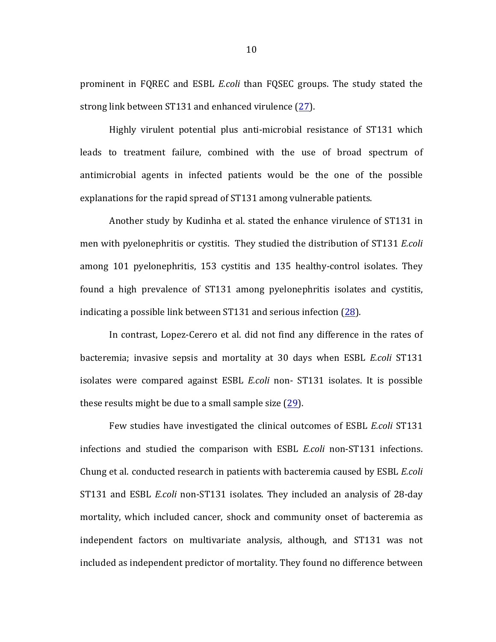prominent in FQREC and ESBL *E.coli* than FQSEC groups. The study stated the strong link between ST131 and enhanced virulence (27).

Highly virulent potential plus anti-microbial resistance of ST131 which leads to treatment failure, combined with the use of broad spectrum of antimicrobial agents in infected patients would be the one of the possible explanations for the rapid spread of ST131 among vulnerable patients.

Another study by Kudinha et al. stated the enhance virulence of ST131 in men with pyelonephritis or cystitis. They studied the distribution of ST131 *E.coli* among 101 pyelonephritis, 153 cystitis and 135 healthy-control isolates. They found a high prevalence of ST131 among pyelonephritis isolates and cystitis, indicating a possible link between  $ST131$  and serious infection (28).

In contrast, Lopez-Cerero et al. did not find any difference in the rates of bacteremia; invasive sepsis and mortality at 30 days when ESBL *E.coli* ST131 isolates were compared against ESBL *E.coli* non- ST131 isolates. It is possible these results might be due to a small sample size  $(29)$ .

Few studies have investigated the clinical outcomes of ESBL *E.coli* ST131 infections and studied the comparison with ESBL *E.coli* non-ST131 infections. Chung et al. conducted research in patients with bacteremia caused by ESBL *E.coli* ST131 and ESBL *E.coli* non-ST131 isolates. They included an analysis of 28-day mortality, which included cancer, shock and community onset of bacteremia as independent factors on multivariate analysis, although, and ST131 was not included as independent predictor of mortality. They found no difference between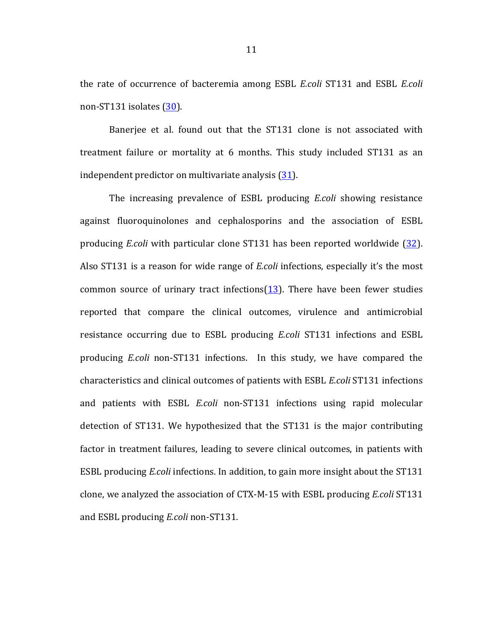the rate of occurrence of bacteremia among ESBL *E.coli* ST131 and ESBL *E.coli* non-ST131 isolates (30).

Banerjee et al. found out that the ST131 clone is not associated with treatment failure or mortality at 6 months. This study included ST131 as an independent predictor on multivariate analysis  $(31)$ .

The increasing prevalence of ESBL producing *E.coli* showing resistance against fluoroquinolones and cephalosporins and the association of ESBL producing *E.coli* with particular clone ST131 has been reported worldwide (32). Also ST131 is a reason for wide range of *E.coli* infections, especially it's the most common source of urinary tract infections $(13)$ . There have been fewer studies reported that compare the clinical outcomes, virulence and antimicrobial resistance occurring due to ESBL producing *E.coli* ST131 infections and ESBL producing *E.coli* non-ST131 infections. In this study, we have compared the characteristics and clinical outcomes of patients with ESBL *E.coli* ST131 infections and patients with ESBL *E.coli* non-ST131 infections using rapid molecular detection of ST131. We hypothesized that the ST131 is the major contributing factor in treatment failures, leading to severe clinical outcomes, in patients with ESBL producing *E.coli* infections. In addition, to gain more insight about the ST131 clone, we analyzed the association of CTX-M-15 with ESBL producing *E.coli* ST131 and ESBL producing *E.coli* non-ST131.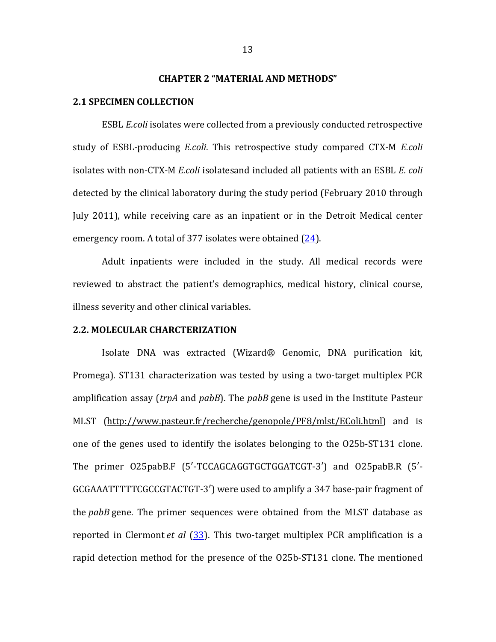## **CHAPTER 2 "MATERIAL AND METHODS"**

#### **2.1 SPECIMEN COLLECTION**

ESBL *E.coli* isolates were collected from a previously conducted retrospective study of ESBL-producing *E.coli*. This retrospective study compared CTX-M *E.coli* isolates with non-CTX-M *E.coli* isolatesand included all patients with an ESBL *E. coli* detected by the clinical laboratory during the study period (February 2010 through July 2011), while receiving care as an inpatient or in the Detroit Medical center emergency room. A total of 377 isolates were obtained  $(24)$ .

Adult inpatients were included in the study. All medical records were reviewed to abstract the patient's demographics, medical history, clinical course, illness severity and other clinical variables.

## **2.2. MOLECULAR CHARCTERIZATION**

Isolate DNA was extracted (Wizard® Genomic, DNA purification kit, Promega). ST131 characterization was tested by using a two-target multiplex PCR amplification assay (*trpA* and *pabB*). The *pabB* gene is used in the Institute Pasteur MLST (http://www.pasteur.fr/recherche/genopole/PF8/mlst/EColi.html) and is one of the genes used to identify the isolates belonging to the O25b-ST131 clone. The primer O25pabB.F (5'-TCCAGCAGGTGCTGGATCGT-3') and O25pabB.R (5'-GCGAAATTTTTCGCCGTACTGT-3') were used to amplify a 347 base-pair fragment of the *pabB* gene. The primer sequences were obtained from the MLST database as reported in Clermont *et al* (33). This two-target multiplex PCR amplification is a rapid detection method for the presence of the O25b-ST131 clone. The mentioned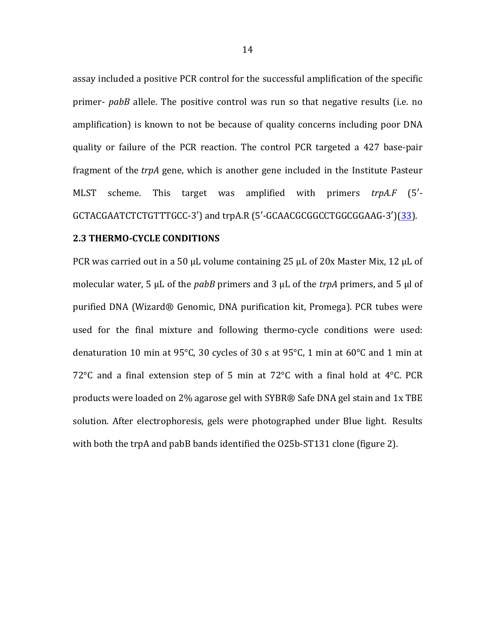assay included a positive PCR control for the successful amplification of the specific primer- *pabB* allele. The positive control was run so that negative results (i.e. no amplification) is known to not be because of quality concerns including poor DNA quality or failure of the PCR reaction. The control PCR targeted a 427 base-pair fragment of the *trpA* gene, which is another gene included in the Institute Pasteur MLST scheme. This target was amplified with primers *trpA.F* (5<sup>'</sup>-GCTACGAATCTCTGTTTGCC-3') and trpA.R (5'-GCAACGCGGCCTGGCGGAAG-3')(33).

## **2.3 THERMO-CYCLE CONDITIONS**

PCR was carried out in a 50  $\mu$ L volume containing 25  $\mu$ L of 20x Master Mix, 12  $\mu$ L of molecular water, 5  $\mu$ L of the *pabB* primers and 3  $\mu$ L of the *trpA* primers, and 5  $\mu$ l of purified DNA (Wizard® Genomic, DNA purification kit, Promega). PCR tubes were used for the final mixture and following thermo-cycle conditions were used: denaturation 10 min at 95°C, 30 cycles of 30 s at 95°C, 1 min at 60°C and 1 min at 72 $\degree$ C and a final extension step of 5 min at 72 $\degree$ C with a final hold at 4 $\degree$ C. PCR products were loaded on 2% agarose gel with SYBR® Safe DNA gel stain and 1x TBE solution. After electrophoresis, gels were photographed under Blue light. Results with both the trpA and pabB bands identified the O25b-ST131 clone (figure 2).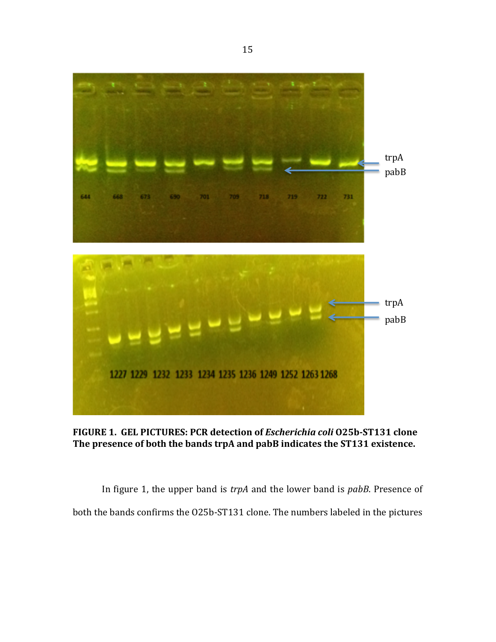

FIGURE 1. GEL PICTURES: PCR detection of *Escherichia coli* 025b-ST131 clone The presence of both the bands trpA and pabB indicates the ST131 existence.

In figure 1, the upper band is *trpA* and the lower band is *pabB*. Presence of both the bands confirms the O25b-ST131 clone. The numbers labeled in the pictures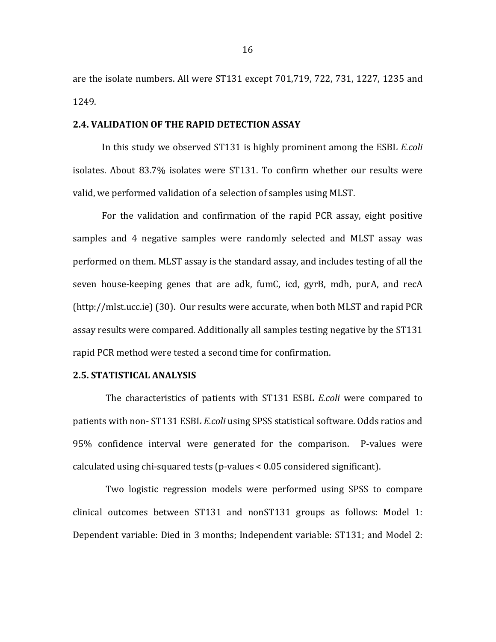are the isolate numbers. All were  $ST131$  except  $701,719, 722, 731, 1227, 1235$  and 1249. 

#### **2.4. VALIDATION OF THE RAPID DETECTION ASSAY**

In this study we observed ST131 is highly prominent among the ESBL *E.coli* isolates. About 83.7% isolates were ST131. To confirm whether our results were valid, we performed validation of a selection of samples using MLST.

For the validation and confirmation of the rapid PCR assay, eight positive samples and 4 negative samples were randomly selected and MLST assay was performed on them. MLST assay is the standard assay, and includes testing of all the seven house-keeping genes that are adk, fumC, icd,  $gyrB$ , mdh,  $purA$ , and recA  $(http://mlst.ucc.ie)$  (30). Our results were accurate, when both MLST and rapid PCR assay results were compared. Additionally all samples testing negative by the ST131 rapid PCR method were tested a second time for confirmation.

## **2.5. STATISTICAL ANALYSIS**

The characteristics of patients with ST131 ESBL *E.coli* were compared to patients with non- ST131 ESBL *E.coli* using SPSS statistical software. Odds ratios and 95% confidence interval were generated for the comparison. P-values were calculated using chi-squared tests (p-values  $\lt 0.05$  considered significant).

Two logistic regression models were performed using SPSS to compare clinical outcomes between  $ST131$  and non $ST131$  groups as follows: Model 1: Dependent variable: Died in 3 months; Independent variable: ST131; and Model 2: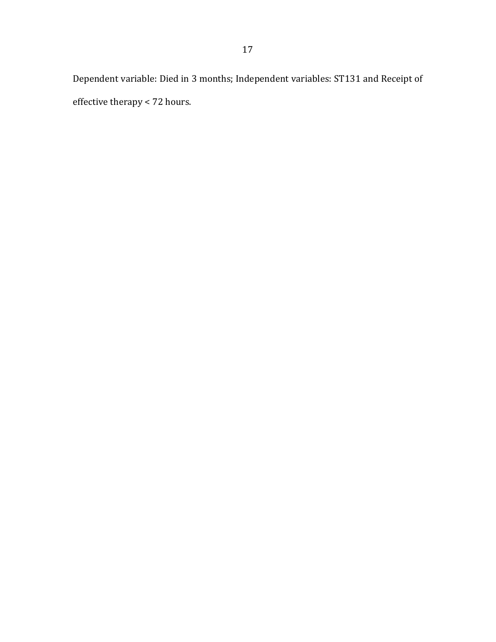Dependent variable: Died in 3 months; Independent variables: ST131 and Receipt of effective therapy  $<$  72 hours.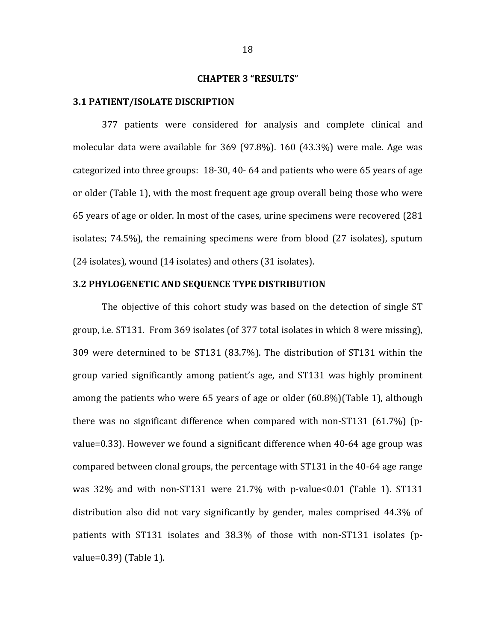### **CHAPTER 3 "RESULTS"**

#### **3.1 PATIENT/ISOLATE DISCRIPTION**

377 patients were considered for analysis and complete clinical and molecular data were available for  $369$  (97.8%).  $160$  (43.3%) were male. Age was categorized into three groups:  $18-30$ , 40-64 and patients who were 65 years of age or older (Table 1), with the most frequent age group overall being those who were 65 years of age or older. In most of the cases, urine specimens were recovered (281) isolates;  $74.5\%$ ), the remaining specimens were from blood  $(27 \text{ isolates})$ , sputum  $(24 \text{ isolates})$ , wound  $(14 \text{ isolates})$  and others  $(31 \text{ isolates})$ .

## **3.2 PHYLOGENETIC AND SEQUENCE TYPE DISTRIBUTION**

The objective of this cohort study was based on the detection of single ST group, i.e.  $ST131$ . From 369 isolates (of 377 total isolates in which 8 were missing), 309 were determined to be ST131 (83.7%). The distribution of ST131 within the group varied significantly among patient's age, and ST131 was highly prominent among the patients who were 65 years of age or older  $(60.8\%)$  (Table 1), although there was no significant difference when compared with non-ST131  $(61.7%)$  (pvalue=0.33). However we found a significant difference when  $40-64$  age group was compared between clonal groups, the percentage with ST131 in the 40-64 age range was  $32\%$  and with non-ST131 were  $21.7\%$  with p-value<0.01 (Table 1). ST131 distribution also did not vary significantly by gender, males comprised 44.3% of patients with ST131 isolates and 38.3% of those with non-ST131 isolates (pvalue= $0.39$ ) (Table 1).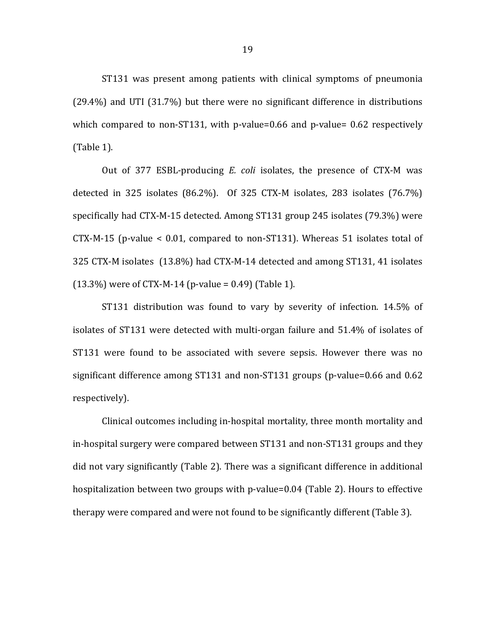ST131 was present among patients with clinical symptoms of pneumonia  $(29.4%)$  and UTI  $(31.7%)$  but there were no significant difference in distributions which compared to non-ST131, with p-value=0.66 and p-value=  $0.62$  respectively  $(Table 1)$ .

Out of 377 ESBL-producing *E. coli* isolates, the presence of CTX-M was detected in 325 isolates  $(86.2\%)$ . Of 325 CTX-M isolates, 283 isolates  $(76.7\%)$ specifically had CTX-M-15 detected. Among ST131 group 245 isolates (79.3%) were  $CTX-M-15$  (p-value < 0.01, compared to non-ST131). Whereas 51 isolates total of 325 CTX-M isolates (13.8%) had CTX-M-14 detected and among ST131, 41 isolates  $(13.3\%)$  were of CTX-M-14 (p-value = 0.49) (Table 1).

ST131 distribution was found to vary by severity of infection. 14.5% of isolates of ST131 were detected with multi-organ failure and 51.4% of isolates of ST131 were found to be associated with severe sepsis. However there was no significant difference among  $ST131$  and non- $ST131$  groups (p-value=0.66 and 0.62 respectively). 

Clinical outcomes including in-hospital mortality, three month mortality and in-hospital surgery were compared between ST131 and non-ST131 groups and they did not vary significantly (Table 2). There was a significant difference in additional hospitalization between two groups with p-value=0.04 (Table 2). Hours to effective therapy were compared and were not found to be significantly different (Table 3).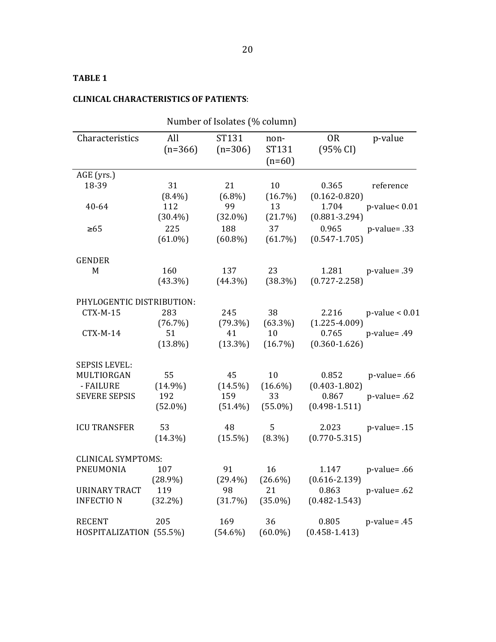# **CLINICAL CHARACTERISTICS OF PATIENTS:**

| Number of Isolates (% column) |                  |                    |                           |                            |                       |
|-------------------------------|------------------|--------------------|---------------------------|----------------------------|-----------------------|
| Characteristics               | All<br>$(n=366)$ | ST131<br>$(n=306)$ | non-<br>ST131<br>$(n=60)$ | 0 <sub>R</sub><br>(95% CI) | p-value               |
| AGE (yrs.)                    |                  |                    |                           |                            |                       |
| 18-39                         | 31               | 21                 | 10                        | 0.365                      | reference             |
|                               | $(8.4\%)$        | $(6.8\%)$          | $(16.7\%)$                | $(0.162 - 0.820)$          |                       |
| $40 - 64$                     | 112              | 99                 | 13                        | 1.704                      | $p$ -value< $0.01$    |
|                               | $(30.4\%)$       | $(32.0\%)$         | (21.7%)                   | $(0.881 - 3.294)$          |                       |
| $\geq 65$                     | 225              | 188                | 37                        | 0.965                      | $p$ -value= .33       |
|                               | $(61.0\%)$       | $(60.8\%)$         | $(61.7\%)$                | $(0.547 - 1.705)$          |                       |
| <b>GENDER</b>                 |                  |                    |                           |                            |                       |
| M                             | 160              | 137                | 23                        |                            | 1.281    p-value= .39 |
|                               | $(43.3\%)$       | $(44.3\%)$         | $(38.3\%)$                | $(0.727 - 2.258)$          |                       |
| PHYLOGENTIC DISTRIBUTION:     |                  |                    |                           |                            |                       |
| CTX-M-15                      | 283              | 245                | 38                        | 2.216                      | $p$ -value < $0.01$   |
|                               | (76.7%)          | $(79.3\%)$         | $(63.3\%)$                | $(1.225 - 4.009)$          |                       |
| CTX-M-14                      | 51               | 41                 | 10                        | 0.765                      | $p$ -value= .49       |
|                               | $(13.8\%)$       | $(13.3\%)$         | $(16.7\%)$                | $(0.360 - 1.626)$          |                       |
| <b>SEPSIS LEVEL:</b>          |                  |                    |                           |                            |                       |
| MULTIORGAN                    | 55               | 45                 | 10                        | 0.852                      | $p$ -value= .66       |
| - FAILURE                     | $(14.9\%)$       | $(14.5\%)$         | $(16.6\%)$                | $(0.403 - 1.802)$          |                       |
| <b>SEVERE SEPSIS</b>          | 192              | 159                | 33                        | 0.867                      | $p$ -value= .62       |
|                               | $(52.0\%)$       | $(51.4\%)$         | $(55.0\%)$                | $(0.498 - 1.511)$          |                       |
| <b>ICU TRANSFER</b>           | 53               | 48                 | 5                         | 2.023                      | $p$ -value= .15       |
|                               | $(14.3\%)$       | $(15.5\%)$         | $(8.3\%)$                 | $(0.770 - 5.315)$          |                       |
|                               |                  |                    |                           |                            |                       |
| <b>CLINICAL SYMPTOMS:</b>     |                  |                    |                           |                            |                       |
| <b>PNEUMONIA</b>              | 107              | 91                 | 16                        | 1.147                      | $p$ -value= .66       |
|                               | $(28.9\%)$       | $(29.4\%)$         | $(26.6\%)$                | $(0.616 - 2.139)$          |                       |
| URINARY TRACT                 | 119              | 98                 | 21                        | 0.863                      | $p$ -value= .62       |
| <b>INFECTION</b>              | $(32.2\%)$       | (31.7%)            | $(35.0\%)$                | $(0.482 - 1.543)$          |                       |
| <b>RECENT</b>                 | 205              | 169                | 36                        | 0.805                      | $p$ -value= .45       |
| HOSPITALIZATION (55.5%)       |                  | $(54.6\%)$         | $(60.0\%)$                | $(0.458 - 1.413)$          |                       |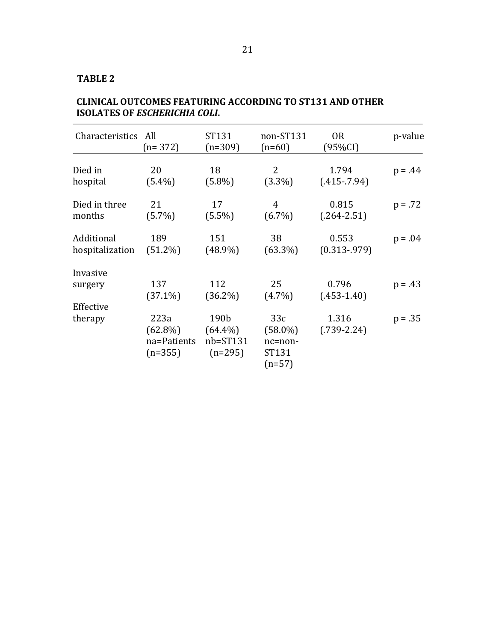| Characteristics All  | $(n=372)$                                      | ST131<br>$(n=309)$                              | non-ST131<br>$(n=60)$                             | <b>OR</b><br>(95%CI)     | p-value   |
|----------------------|------------------------------------------------|-------------------------------------------------|---------------------------------------------------|--------------------------|-----------|
| Died in              | 20                                             | 18                                              | $\overline{2}$                                    | 1.794                    | $p = .44$ |
| hospital             | $(5.4\%)$                                      | $(5.8\%)$                                       | $(3.3\%)$                                         | $(.415-.7.94)$           |           |
| Died in three        | 21                                             | 17                                              | $\overline{4}$                                    | 0.815                    | $p = .72$ |
| months               | $(5.7\%)$                                      | $(5.5\%)$                                       | $(6.7\%)$                                         | $(.264 - 2.51)$          |           |
| Additional           | 189                                            | 151                                             | 38                                                | 0.553                    | $p = .04$ |
| hospitalization      | $(51.2\%)$                                     | $(48.9\%)$                                      | $(63.3\%)$                                        | $(0.313 - 979)$          |           |
| Invasive             | 137                                            | 112                                             | 25                                                | 0.796                    | $p = .43$ |
| surgery              | $(37.1\%)$                                     | $(36.2\%)$                                      | $(4.7\%)$                                         | $(.453-1.40)$            |           |
| Effective<br>therapy | 223a<br>$(62.8\%)$<br>na=Patients<br>$(n=355)$ | 190b<br>$(64.4\%)$<br>$nb = ST131$<br>$(n=295)$ | 33c<br>$(58.0\%)$<br>nc=non-<br>ST131<br>$(n=57)$ | 1.316<br>$(.739 - 2.24)$ | $p = .35$ |

# **CLINICAL OUTCOMES FEATURING ACCORDING TO ST131 AND OTHER ISOLATES OF ESCHERICHIA COLI.**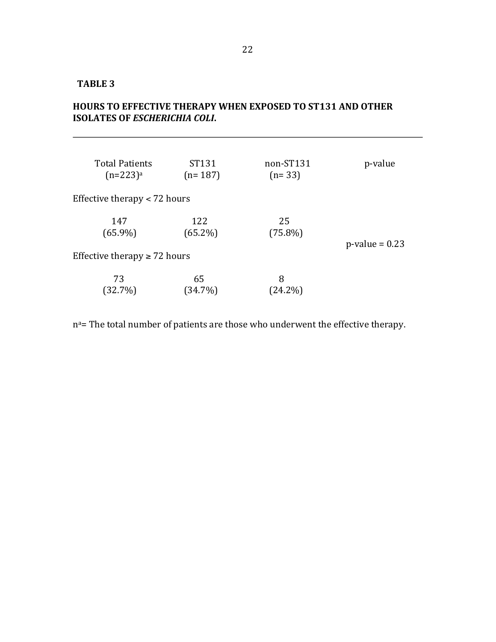# HOURS TO EFFECTIVE THERAPY WHEN EXPOSED TO ST131 AND OTHER **ISOLATES OF** *ESCHERICHIA COLI***.**

| <b>Total Patients</b>             | ST131      | non-ST131  | p-value           |  |
|-----------------------------------|------------|------------|-------------------|--|
| $(n=223)^a$                       | $(n=187)$  | $(n=33)$   |                   |  |
| Effective therapy $<$ 72 hours    |            |            |                   |  |
| 147                               | 122        | 25         | $p$ -value = 0.23 |  |
| $(65.9\%)$                        | $(65.2\%)$ | $(75.8\%)$ |                   |  |
| Effective therapy $\geq$ 72 hours |            |            |                   |  |
| 73                                | 65         | 8          |                   |  |
| (32.7%)                           | (34.7%)    | $(24.2\%)$ |                   |  |

n<sup>a</sup>= The total number of patients are those who underwent the effective therapy.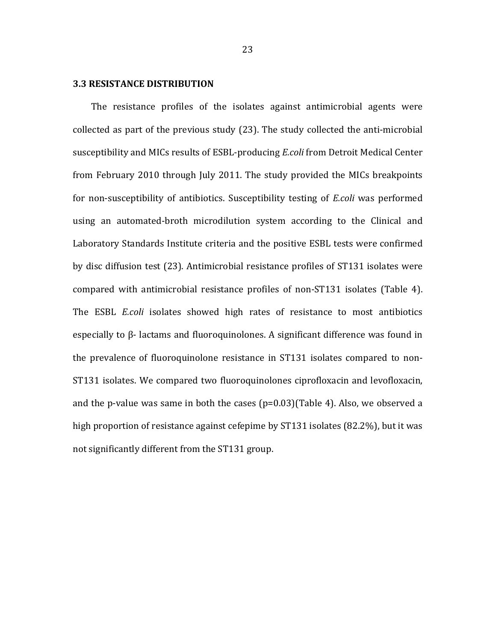#### **3.3 RESISTANCE DISTRIBUTION**

The resistance profiles of the isolates against antimicrobial agents were collected as part of the previous study (23). The study collected the anti-microbial susceptibility and MICs results of ESBL-producing *E.coli* from Detroit Medical Center from February 2010 through July 2011. The study provided the MICs breakpoints for non-susceptibility of antibiotics. Susceptibility testing of *E.coli* was performed using an automated-broth microdilution system according to the Clinical and Laboratory Standards Institute criteria and the positive ESBL tests were confirmed by disc diffusion test (23). Antimicrobial resistance profiles of ST131 isolates were compared with antimicrobial resistance profiles of non-ST131 isolates (Table 4). The ESBL *E.coli* isolates showed high rates of resistance to most antibiotics especially to  $\beta$ - lactams and fluoroquinolones. A significant difference was found in the prevalence of fluoroquinolone resistance in ST131 isolates compared to non-ST131 isolates. We compared two fluoroquinolones ciprofloxacin and levofloxacin, and the p-value was same in both the cases  $(p=0.03)$ (Table 4). Also, we observed a high proportion of resistance against cefepime by  $ST131$  isolates  $(82.2\%)$ , but it was not significantly different from the ST131 group.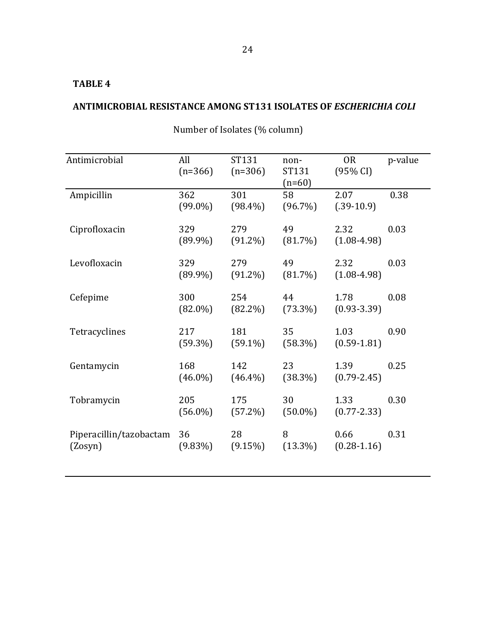# **ANTIMICROBIAL RESISTANCE AMONG ST131 ISOLATES OF** *ESCHERICHIA COLI*

| Antimicrobial                      | All<br>$(n=366)$  | ST131<br>$(n=306)$ | non-<br>ST131<br>$(n=60)$ | <b>OR</b><br>(95% CI)   | p-value |
|------------------------------------|-------------------|--------------------|---------------------------|-------------------------|---------|
| Ampicillin                         | 362<br>$(99.0\%)$ | 301<br>$(98.4\%)$  | 58<br>$(96.7\%)$          | 2.07<br>$(.39-10.9)$    | 0.38    |
| Ciprofloxacin                      | 329<br>$(89.9\%)$ | 279<br>$(91.2\%)$  | 49<br>$(81.7\%)$          | 2.32<br>$(1.08 - 4.98)$ | 0.03    |
| Levofloxacin                       | 329<br>$(89.9\%)$ | 279<br>$(91.2\%)$  | 49<br>$(81.7\%)$          | 2.32<br>$(1.08 - 4.98)$ | 0.03    |
| Cefepime                           | 300<br>$(82.0\%)$ | 254<br>$(82.2\%)$  | 44<br>$(73.3\%)$          | 1.78<br>$(0.93 - 3.39)$ | 0.08    |
| Tetracyclines                      | 217<br>$(59.3\%)$ | 181<br>$(59.1\%)$  | 35<br>$(58.3\%)$          | 1.03<br>$(0.59 - 1.81)$ | 0.90    |
| Gentamycin                         | 168<br>$(46.0\%)$ | 142<br>$(46.4\%)$  | 23<br>$(38.3\%)$          | 1.39<br>$(0.79 - 2.45)$ | 0.25    |
| Tobramycin                         | 205<br>$(56.0\%)$ | 175<br>$(57.2\%)$  | 30<br>$(50.0\%)$          | 1.33<br>$(0.77 - 2.33)$ | 0.30    |
| Piperacillin/tazobactam<br>(Zosyn) | 36<br>$(9.83\%)$  | 28<br>$(9.15\%)$   | 8<br>$(13.3\%)$           | 0.66<br>$(0.28 - 1.16)$ | 0.31    |

Number of Isolates (% column)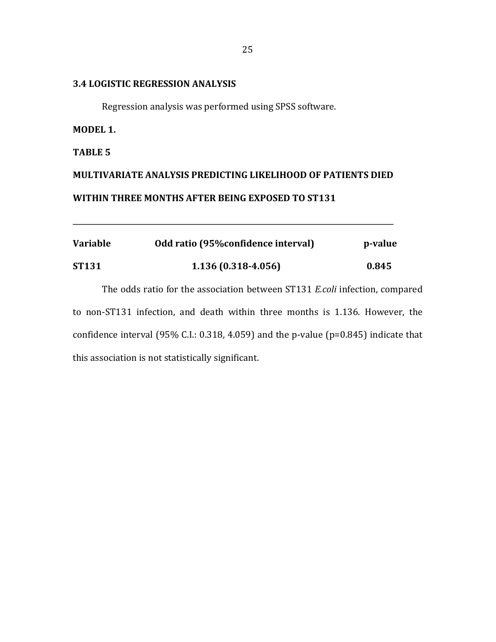## **3.4 LOGISTIC REGRESSION ANALYSIS**

Regression analysis was performed using SPSS software.

## **MODEL 1.**

**TABLE 5**

# **MULTIVARIATE ANALYSIS PREDICTING LIKELIHOOD OF PATIENTS DIED** WITHIN THREE MONTHS AFTER BEING EXPOSED TO ST131

| <b>Variable</b> | Odd ratio (95% confidence interval) | p-value |
|-----------------|-------------------------------------|---------|
| <b>ST131</b>    | $1.136(0.318-4.056)$                | 0.845   |

The odds ratio for the association between ST131 *E.coli* infection, compared to non-ST131 infection, and death within three months is 1.136. However, the confidence interval  $(95\%$  C.I.: 0.318, 4.059) and the p-value  $(p=0.845)$  indicate that this association is not statistically significant.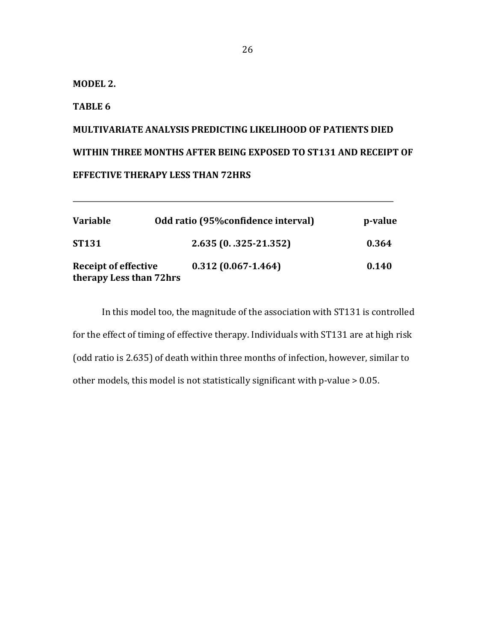**MODEL 2.**

## **TABLE 6**

# **MULTIVARIATE ANALYSIS PREDICTING LIKELIHOOD OF PATIENTS DIED** WITHIN THREE MONTHS AFTER BEING EXPOSED TO ST131 AND RECEIPT OF **EFFECTIVE THERAPY LESS THAN 72HRS**

| <b>Variable</b>                                        | Odd ratio (95% confidence interval) | p-value |
|--------------------------------------------------------|-------------------------------------|---------|
| <b>ST131</b>                                           | 2.635 (0. .325-21.352)              | 0.364   |
| <b>Receipt of effective</b><br>therapy Less than 72hrs | $0.312(0.067 - 1.464)$              | 0.140   |

In this model too, the magnitude of the association with ST131 is controlled for the effect of timing of effective therapy. Individuals with ST131 are at high risk (odd ratio is 2.635) of death within three months of infection, however, similar to other models, this model is not statistically significant with p-value  $> 0.05$ .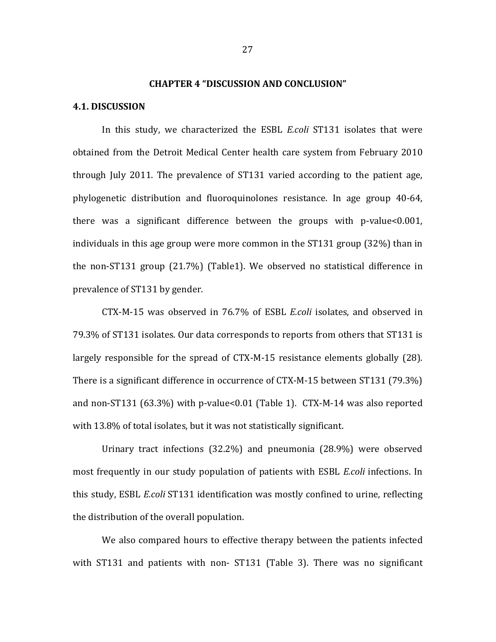#### **CHAPTER 4 "DISCUSSION AND CONCLUSION"**

#### **4.1. DISCUSSION**

In this study, we characterized the ESBL *E.coli* ST131 isolates that were obtained from the Detroit Medical Center health care system from February 2010 through July 2011. The prevalence of  $ST131$  varied according to the patient age, phylogenetic distribution and fluoroquinolones resistance. In age group 40-64, there was a significant difference between the groups with  $p$ -value<0.001, individuals in this age group were more common in the  $ST131$  group  $(32%)$  than in the non-ST131 group  $(21.7%)$  (Table1). We observed no statistical difference in prevalence of ST131 by gender.

CTX-M-15 was observed in 76.7% of ESBL *E.coli* isolates, and observed in 79.3% of ST131 isolates. Our data corresponds to reports from others that ST131 is largely responsible for the spread of  $CTX-M-15$  resistance elements globally  $(28)$ . There is a significant difference in occurrence of  $CTX-M-15$  between  $ST131$  (79.3%) and non-ST131  $(63.3\%)$  with p-value<0.01 (Table 1). CTX-M-14 was also reported with 13.8% of total isolates, but it was not statistically significant.

Urinary tract infections  $(32.2\%)$  and pneumonia  $(28.9\%)$  were observed most frequently in our study population of patients with ESBL *E.coli* infections. In this study, ESBL *E.coli* ST131 identification was mostly confined to urine, reflecting the distribution of the overall population.

We also compared hours to effective therapy between the patients infected with ST131 and patients with non- ST131 (Table 3). There was no significant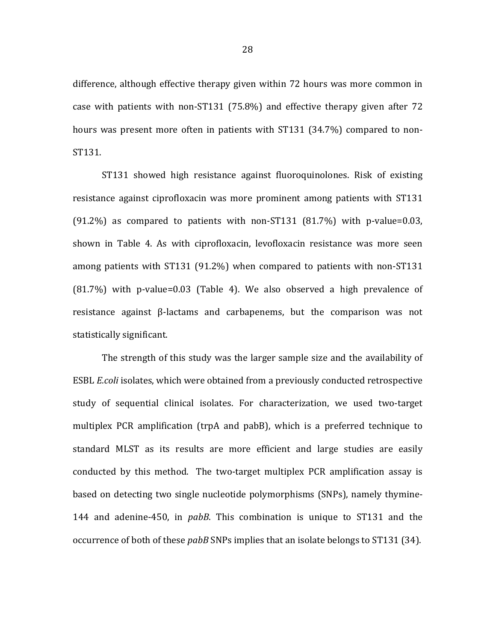difference, although effective therapy given within 72 hours was more common in case with patients with non-ST131  $(75.8\%)$  and effective therapy given after 72 hours was present more often in patients with ST131 (34.7%) compared to non-ST131.

ST131 showed high resistance against fluoroquinolones. Risk of existing resistance against ciprofloxacin was more prominent among patients with ST131  $(91.2\%)$  as compared to patients with non-ST131  $(81.7\%)$  with p-value=0.03, shown in Table 4. As with ciprofloxacin, levofloxacin resistance was more seen among patients with ST131  $(91.2\%)$  when compared to patients with non-ST131  $(81.7%)$  with p-value=0.03 (Table 4). We also observed a high prevalence of resistance against  $\beta$ -lactams and carbapenems, but the comparison was not statistically significant.

The strength of this study was the larger sample size and the availability of ESBL *E.coli* isolates, which were obtained from a previously conducted retrospective study of sequential clinical isolates. For characterization, we used two-target multiplex PCR amplification (trpA and pabB), which is a preferred technique to standard MLST as its results are more efficient and large studies are easily conducted by this method. The two-target multiplex PCR amplification assay is based on detecting two single nucleotide polymorphisms (SNPs), namely thymine-144 and adenine-450, in *pabB*. This combination is unique to ST131 and the occurrence of both of these *pabB* SNPs implies that an isolate belongs to ST131 (34).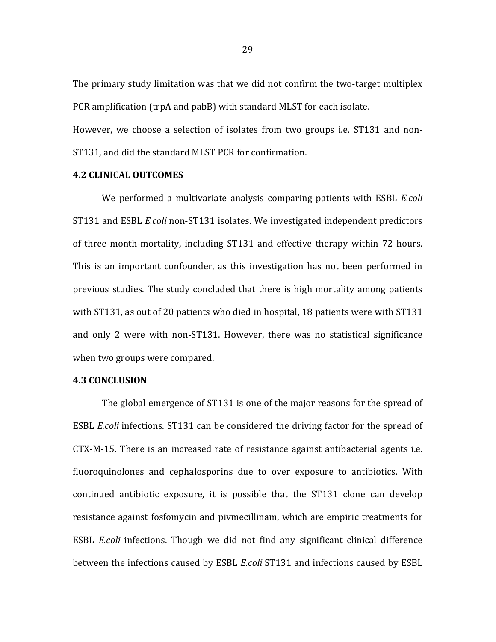The primary study limitation was that we did not confirm the two-target multiplex PCR amplification (trpA and pabB) with standard MLST for each isolate.

However, we choose a selection of isolates from two groups i.e. ST131 and non-ST131, and did the standard MLST PCR for confirmation.

## **4.2 CLINICAL OUTCOMES**

We performed a multivariate analysis comparing patients with ESBL *E.coli* ST131 and ESBL *E.coli* non-ST131 isolates. We investigated independent predictors of three-month-mortality, including ST131 and effective therapy within 72 hours. This is an important confounder, as this investigation has not been performed in previous studies. The study concluded that there is high mortality among patients with ST131, as out of 20 patients who died in hospital, 18 patients were with ST131 and only 2 were with non-ST131. However, there was no statistical significance when two groups were compared.

## **4.3 CONCLUSION**

The global emergence of ST131 is one of the major reasons for the spread of ESBL *E.coli* infections. ST131 can be considered the driving factor for the spread of CTX-M-15. There is an increased rate of resistance against antibacterial agents i.e. fluoroquinolones and cephalosporins due to over exposure to antibiotics. With continued antibiotic exposure, it is possible that the ST131 clone can develop resistance against fosfomycin and pivmecillinam, which are empiric treatments for ESBL *E.coli* infections. Though we did not find any significant clinical difference between the infections caused by ESBL *E.coli* ST131 and infections caused by ESBL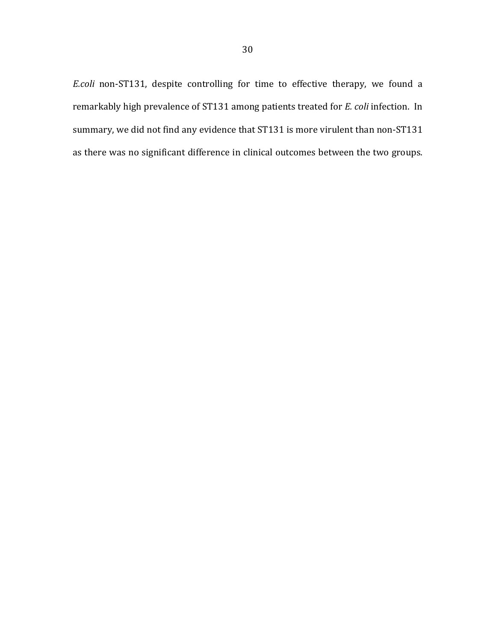*E.coli* non-ST131, despite controlling for time to effective therapy, we found a remarkably high prevalence of ST131 among patients treated for *E. coli* infection. In summary, we did not find any evidence that ST131 is more virulent than non-ST131 as there was no significant difference in clinical outcomes between the two groups.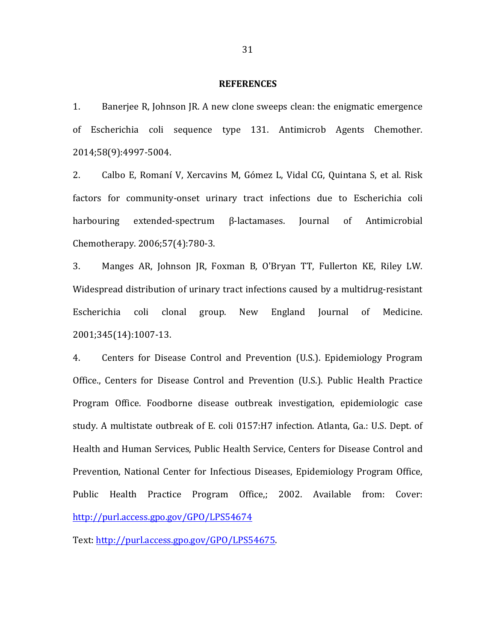#### **REFERENCES**

1. Banerjee R, Johnson JR. A new clone sweeps clean: the enigmatic emergence of Escherichia coli sequence type 131. Antimicrob Agents Chemother. 2014;58(9):4997-5004.

2. Calbo E, Romaní V, Xercavins M, Gómez L, Vidal CG, Quintana S, et al. Risk factors for community-onset urinary tract infections due to Escherichia coli harbouring extended-spectrum β-lactamases. Journal of Antimicrobial Chemotherapy. 2006;57(4):780-3.

3. Manges AR, Johnson JR, Foxman B, O'Bryan TT, Fullerton KE, Riley LW. Widespread distribution of urinary tract infections caused by a multidrug-resistant Escherichia coli clonal group. New England Journal of Medicine. 2001;345(14):1007-13.

4. Centers for Disease Control and Prevention (U.S.). Epidemiology Program Office., Centers for Disease Control and Prevention (U.S.). Public Health Practice Program Office. Foodborne disease outbreak investigation, epidemiologic case study. A multistate outbreak of E. coli 0157:H7 infection. Atlanta, Ga.: U.S. Dept. of Health and Human Services, Public Health Service, Centers for Disease Control and Prevention, National Center for Infectious Diseases, Epidemiology Program Office, Public Health Practice Program Office,; 2002. Available from: Cover: http://purl.access.gpo.gov/GPO/LPS54674

Text: http://purl.access.gpo.gov/GPO/LPS54675.

31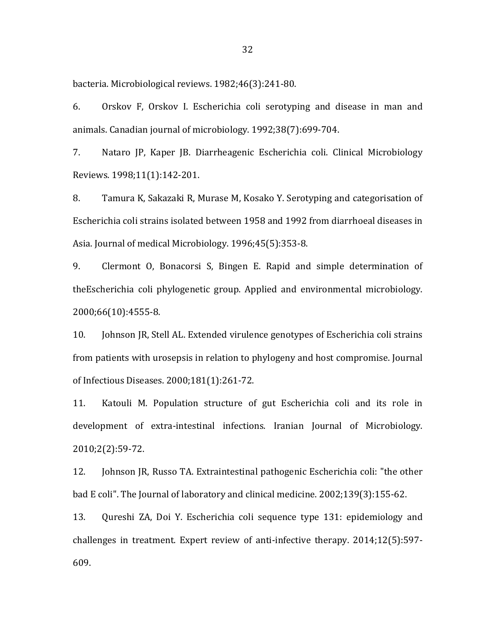bacteria. Microbiological reviews. 1982;46(3):241-80.

6. Orskov F, Orskov I. Escherichia coli serotyping and disease in man and animals. Canadian journal of microbiology. 1992;38(7):699-704.

7. Nataro JP, Kaper JB. Diarrheagenic Escherichia coli. Clinical Microbiology Reviews. 1998;11(1):142-201.

8. Tamura K, Sakazaki R, Murase M, Kosako Y. Serotyping and categorisation of Escherichia coli strains isolated between 1958 and 1992 from diarrhoeal diseases in Asia. Journal of medical Microbiology. 1996;45(5):353-8.

9. Clermont O, Bonacorsi S, Bingen E. Rapid and simple determination of theEscherichia coli phylogenetic group. Applied and environmental microbiology. 2000;66(10):4555-8.

10. **Johnson JR, Stell AL. Extended virulence genotypes of Escherichia coli strains** from patients with urosepsis in relation to phylogeny and host compromise. Journal of Infectious Diseases. 2000;181(1):261-72.

11. Katouli M. Population structure of gut Escherichia coli and its role in development of extra-intestinal infections. Iranian Journal of Microbiology. 2010;2(2):59-72.

12. Johnson JR, Russo TA. Extraintestinal pathogenic Escherichia coli: "the other bad E coli". The Journal of laboratory and clinical medicine. 2002;139(3):155-62.

13. Qureshi ZA, Doi Y. Escherichia coli sequence type 131: epidemiology and challenges in treatment. Expert review of anti-infective therapy.  $2014;12(5):597-$ 609.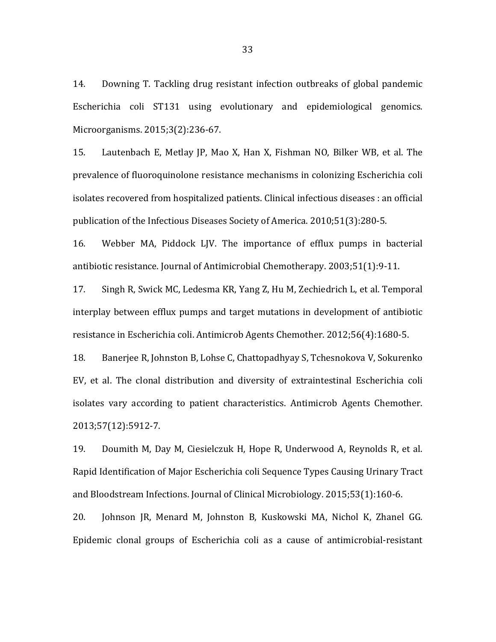14. Downing T. Tackling drug resistant infection outbreaks of global pandemic Escherichia coli ST131 using evolutionary and epidemiological genomics. Microorganisms. 2015;3(2):236-67.

15. Lautenbach E, Metlay JP, Mao X, Han X, Fishman NO, Bilker WB, et al. The prevalence of fluoroquinolone resistance mechanisms in colonizing Escherichia coli isolates recovered from hospitalized patients. Clinical infectious diseases : an official publication of the Infectious Diseases Society of America. 2010;51(3):280-5.

16. Webber MA, Piddock LJV. The importance of efflux pumps in bacterial antibiotic resistance. Journal of Antimicrobial Chemotherapy. 2003;51(1):9-11.

17. Singh R, Swick MC, Ledesma KR, Yang Z, Hu M, Zechiedrich L, et al. Temporal interplay between efflux pumps and target mutations in development of antibiotic resistance in Escherichia coli. Antimicrob Agents Chemother. 2012;56(4):1680-5.

18. Banerjee R, Johnston B, Lohse C, Chattopadhyay S, Tchesnokova V, Sokurenko EV, et al. The clonal distribution and diversity of extraintestinal Escherichia coli isolates vary according to patient characteristics. Antimicrob Agents Chemother. 2013;57(12):5912-7.

19. Doumith M, Day M, Ciesielczuk H, Hope R, Underwood A, Reynolds R, et al. Rapid Identification of Major Escherichia coli Sequence Types Causing Urinary Tract and Bloodstream Infections. Journal of Clinical Microbiology. 2015;53(1):160-6.

20. Johnson JR, Menard M, Johnston B, Kuskowski MA, Nichol K, Zhanel GG. Epidemic clonal groups of Escherichia coli as a cause of antimicrobial-resistant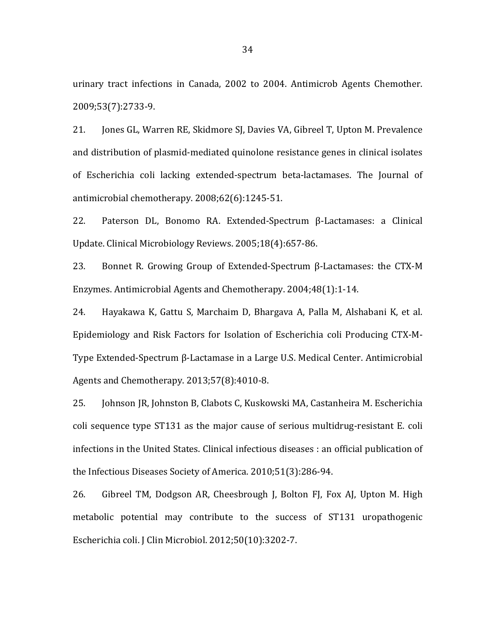urinary tract infections in Canada, 2002 to 2004. Antimicrob Agents Chemother. 2009;53(7):2733-9.

21. Jones GL, Warren RE, Skidmore SJ, Davies VA, Gibreel T, Upton M. Prevalence and distribution of plasmid-mediated quinolone resistance genes in clinical isolates of Escherichia coli lacking extended-spectrum beta-lactamases. The Journal of antimicrobial chemotherapy.  $2008;62(6):1245-51$ .

22. Paterson DL, Bonomo RA. Extended-Spectrum β-Lactamases: a Clinical Update. Clinical Microbiology Reviews. 2005;18(4):657-86.

23. Bonnet R. Growing Group of Extended-Spectrum  $\beta$ -Lactamases: the CTX-M Enzymes. Antimicrobial Agents and Chemotherapy. 2004;48(1):1-14.

24. Hayakawa K, Gattu S, Marchaim D, Bhargava A, Palla M, Alshabani K, et al. Epidemiology and Risk Factors for Isolation of Escherichia coli Producing CTX-M-Type Extended-Spectrum β-Lactamase in a Large U.S. Medical Center. Antimicrobial Agents and Chemotherapy. 2013;57(8):4010-8.

25. Johnson JR, Johnston B, Clabots C, Kuskowski MA, Castanheira M. Escherichia coli sequence type ST131 as the major cause of serious multidrug-resistant E. coli infections in the United States. Clinical infectious diseases : an official publication of the Infectious Diseases Society of America. 2010;51(3):286-94.

26. Gibreel TM, Dodgson AR, Cheesbrough J, Bolton FJ, Fox AJ, Upton M. High metabolic potential may contribute to the success of ST131 uropathogenic Escherichia coli. J Clin Microbiol. 2012;50(10):3202-7.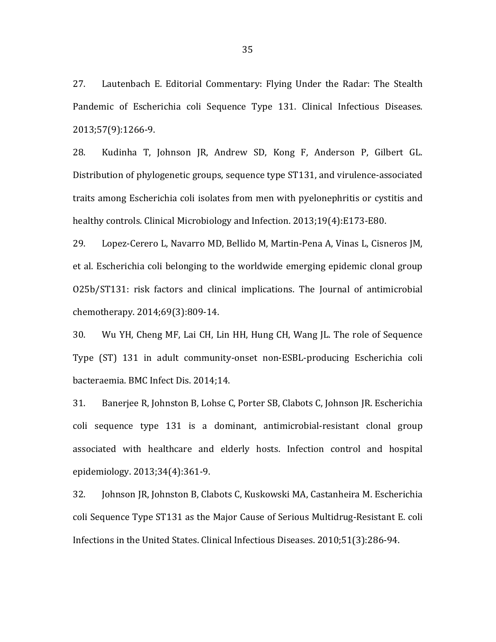27. Lautenbach E. Editorial Commentary: Flying Under the Radar: The Stealth Pandemic of Escherichia coli Sequence Type 131. Clinical Infectious Diseases. 2013;57(9):1266-9.

28. Kudinha T, Johnson JR, Andrew SD, Kong F, Anderson P, Gilbert GL. Distribution of phylogenetic groups, sequence type ST131, and virulence-associated traits among Escherichia coli isolates from men with pyelonephritis or cystitis and healthy controls. Clinical Microbiology and Infection. 2013;19(4):E173-E80.

29. Lopez-Cerero L, Navarro MD, Bellido M, Martin-Pena A, Vinas L, Cisneros JM, et al. Escherichia coli belonging to the worldwide emerging epidemic clonal group O25b/ST131: risk factors and clinical implications. The Journal of antimicrobial chemotherapy. 2014;69(3):809-14.

30. Wu YH, Cheng MF, Lai CH, Lin HH, Hung CH, Wang JL. The role of Sequence Type (ST) 131 in adult community-onset non-ESBL-producing Escherichia coli bacteraemia. BMC Infect Dis. 2014;14.

31. Banerjee R, Johnston B, Lohse C, Porter SB, Clabots C, Johnson JR. Escherichia coli sequence type 131 is a dominant, antimicrobial-resistant clonal group associated with healthcare and elderly hosts. Infection control and hospital epidemiology. 2013;34(4):361-9.

32. Johnson JR, Johnston B, Clabots C, Kuskowski MA, Castanheira M. Escherichia coli Sequence Type ST131 as the Major Cause of Serious Multidrug-Resistant E. coli Infections in the United States. Clinical Infectious Diseases. 2010;51(3):286-94.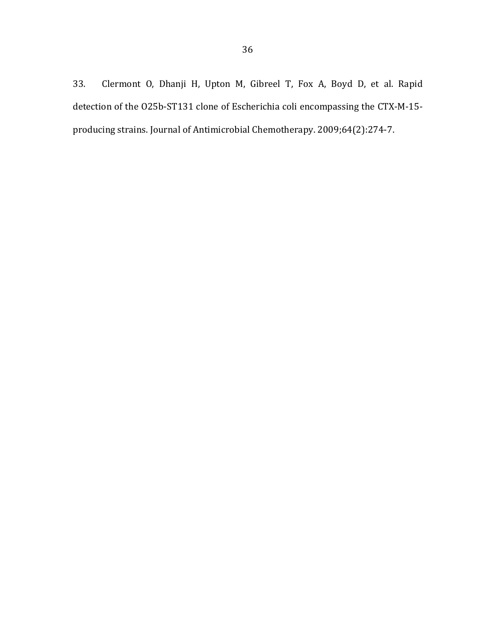33. Clermont O, Dhanji H, Upton M, Gibreel T, Fox A, Boyd D, et al. Rapid detection of the O25b-ST131 clone of Escherichia coli encompassing the CTX-M-15producing strains. Journal of Antimicrobial Chemotherapy. 2009;64(2):274-7.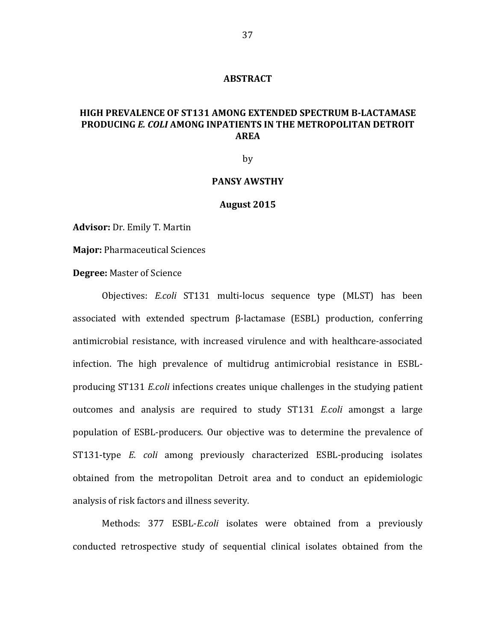#### **ABSTRACT**

# **HIGH PREVALENCE OF ST131 AMONG EXTENDED SPECTRUM B-LACTAMASE PRODUCING E. COLI AMONG INPATIENTS IN THE METROPOLITAN DETROIT AREA**

by

#### **PANSY AWSTHY**

#### **August 2015**

Advisor: Dr. Emily T. Martin

**Major: Pharmaceutical Sciences** 

### **Degree:** Master of Science

Objectives: *E.coli*  ST131 multi-locus sequence type (MLST) has been associated with extended spectrum  $\beta$ -lactamase (ESBL) production, conferring antimicrobial resistance, with increased virulence and with healthcare-associated infection. The high prevalence of multidrug antimicrobial resistance in ESBLproducing ST131 *E.coli* infections creates unique challenges in the studying patient outcomes and analysis are required to study ST131 *E.coli* amongst a large population of ESBL-producers. Our objective was to determine the prevalence of ST131-type *E. coli* among previously characterized ESBL-producing isolates obtained from the metropolitan Detroit area and to conduct an epidemiologic analysis of risk factors and illness severity.

Methods: 377 ESBL-*E.coli* isolates were obtained from a previously conducted retrospective study of sequential clinical isolates obtained from the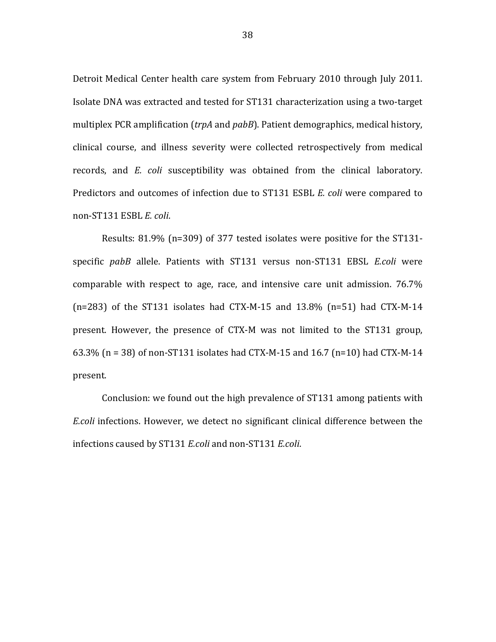Detroit Medical Center health care system from February 2010 through July 2011. Isolate DNA was extracted and tested for ST131 characterization using a two-target multiplex PCR amplification (*trpA* and *pabB*). Patient demographics, medical history, clinical course, and illness severity were collected retrospectively from medical records, and *E. coli* susceptibility was obtained from the clinical laboratory. Predictors and outcomes of infection due to ST131 ESBL *E. coli* were compared to non-ST131 ESBL *E. coli*.

Results:  $81.9\%$  (n=309) of 377 tested isolates were positive for the ST131specific pabB allele. Patients with ST131 versus non-ST131 EBSL *E.coli* were comparable with respect to age, race, and intensive care unit admission.  $76.7\%$  $(n=283)$  of the ST131 isolates had CTX-M-15 and 13.8%  $(n=51)$  had CTX-M-14 present. However, the presence of CTX-M was not limited to the ST131 group, 63.3%  $(n = 38)$  of non-ST131 isolates had CTX-M-15 and 16.7  $(n=10)$  had CTX-M-14 present.

Conclusion: we found out the high prevalence of ST131 among patients with *E.coli* infections. However, we detect no significant clinical difference between the infections caused by ST131 *E.coli* and non-ST131 *E.coli*.